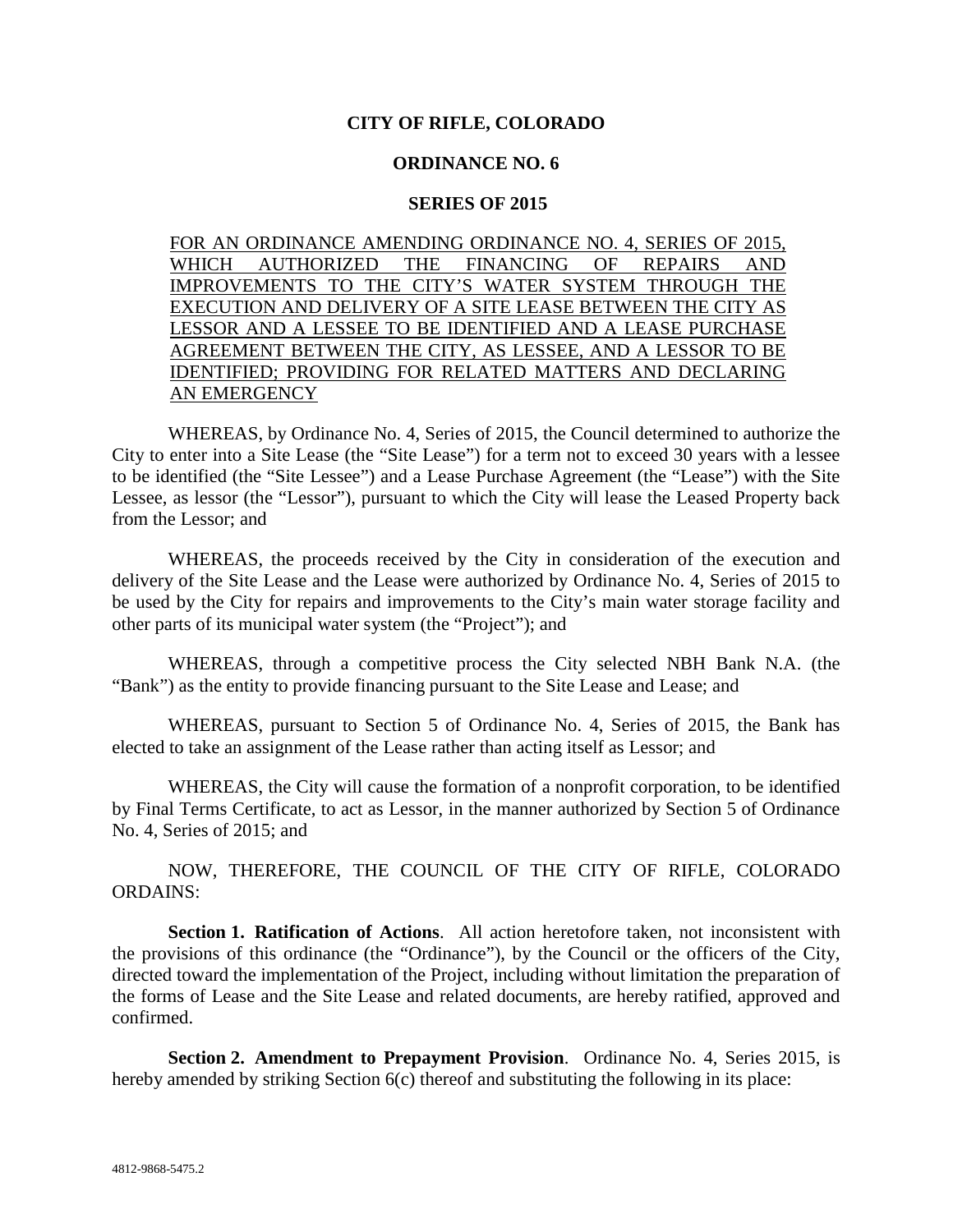## **CITY OF RIFLE, COLORADO**

## **ORDINANCE NO. 6**

## **SERIES OF 2015**

FOR AN ORDINANCE AMENDING ORDINANCE NO. 4, SERIES OF 2015, WHICH AUTHORIZED THE FINANCING OF REPAIRS AND IMPROVEMENTS TO THE CITY'S WATER SYSTEM THROUGH THE EXECUTION AND DELIVERY OF A SITE LEASE BETWEEN THE CITY AS LESSOR AND A LESSEE TO BE IDENTIFIED AND A LEASE PURCHASE AGREEMENT BETWEEN THE CITY, AS LESSEE, AND A LESSOR TO BE IDENTIFIED; PROVIDING FOR RELATED MATTERS AND DECLARING AN EMERGENCY

WHEREAS, by Ordinance No. 4, Series of 2015, the Council determined to authorize the City to enter into a Site Lease (the "Site Lease") for a term not to exceed 30 years with a lessee to be identified (the "Site Lessee") and a Lease Purchase Agreement (the "Lease") with the Site Lessee, as lessor (the "Lessor"), pursuant to which the City will lease the Leased Property back from the Lessor; and

WHEREAS, the proceeds received by the City in consideration of the execution and delivery of the Site Lease and the Lease were authorized by Ordinance No. 4, Series of 2015 to be used by the City for repairs and improvements to the City's main water storage facility and other parts of its municipal water system (the "Project"); and

WHEREAS, through a competitive process the City selected NBH Bank N.A. (the "Bank") as the entity to provide financing pursuant to the Site Lease and Lease; and

WHEREAS, pursuant to Section 5 of Ordinance No. 4, Series of 2015, the Bank has elected to take an assignment of the Lease rather than acting itself as Lessor; and

WHEREAS, the City will cause the formation of a nonprofit corporation, to be identified by Final Terms Certificate, to act as Lessor, in the manner authorized by Section 5 of Ordinance No. 4, Series of 2015; and

NOW, THEREFORE, THE COUNCIL OF THE CITY OF RIFLE, COLORADO ORDAINS:

**Section 1. Ratification of Actions**. All action heretofore taken, not inconsistent with the provisions of this ordinance (the "Ordinance"), by the Council or the officers of the City, directed toward the implementation of the Project, including without limitation the preparation of the forms of Lease and the Site Lease and related documents, are hereby ratified, approved and confirmed.

**Section 2. Amendment to Prepayment Provision**. Ordinance No. 4, Series 2015, is hereby amended by striking Section 6(c) thereof and substituting the following in its place: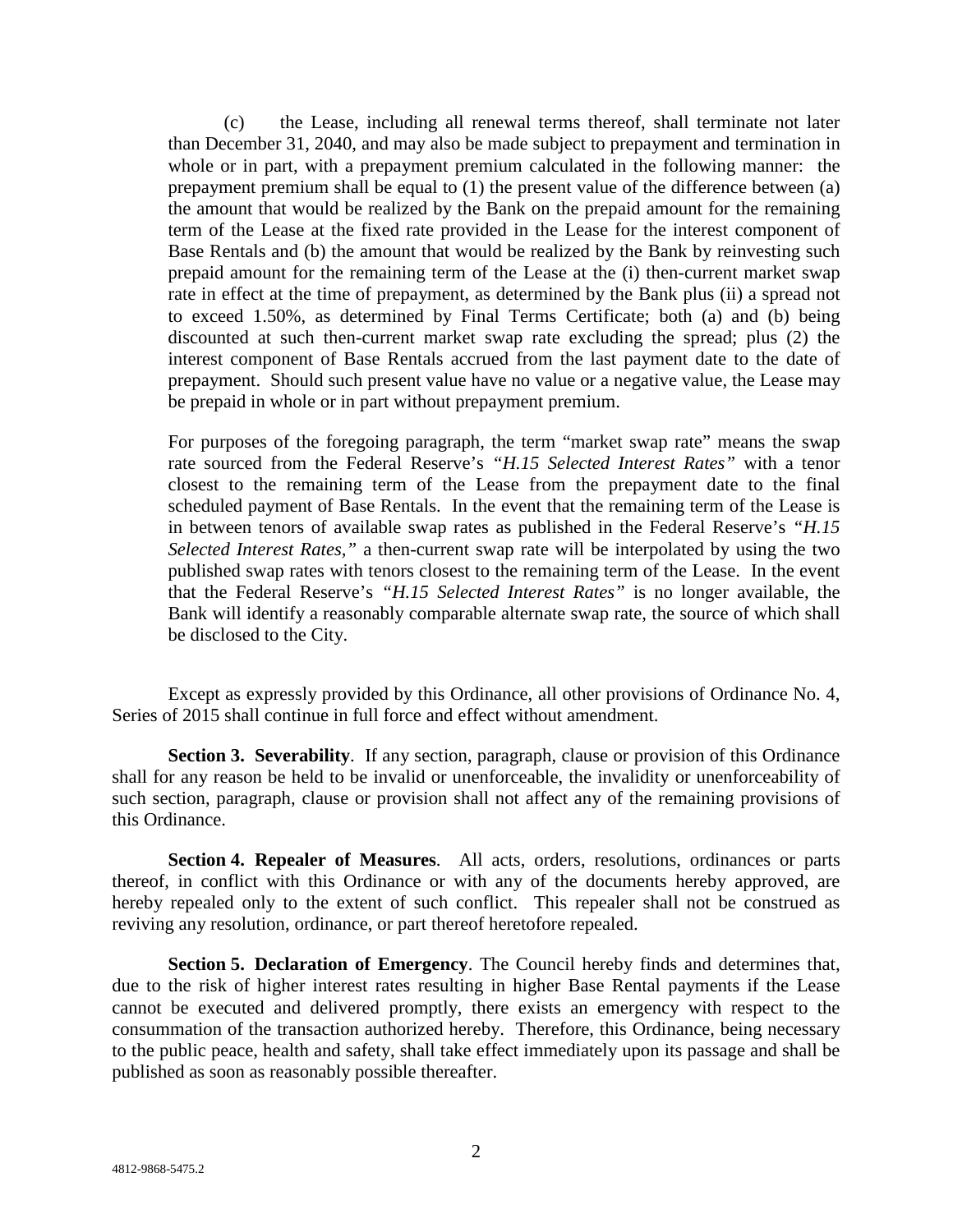(c) the Lease, including all renewal terms thereof, shall terminate not later than December 31, 2040, and may also be made subject to prepayment and termination in whole or in part, with a prepayment premium calculated in the following manner: the prepayment premium shall be equal to (1) the present value of the difference between (a) the amount that would be realized by the Bank on the prepaid amount for the remaining term of the Lease at the fixed rate provided in the Lease for the interest component of Base Rentals and (b) the amount that would be realized by the Bank by reinvesting such prepaid amount for the remaining term of the Lease at the (i) then-current market swap rate in effect at the time of prepayment, as determined by the Bank plus (ii) a spread not to exceed 1.50%, as determined by Final Terms Certificate; both (a) and (b) being discounted at such then-current market swap rate excluding the spread; plus (2) the interest component of Base Rentals accrued from the last payment date to the date of prepayment. Should such present value have no value or a negative value, the Lease may be prepaid in whole or in part without prepayment premium.

For purposes of the foregoing paragraph, the term "market swap rate" means the swap rate sourced from the Federal Reserve's *"H.15 Selected Interest Rates"* with a tenor closest to the remaining term of the Lease from the prepayment date to the final scheduled payment of Base Rentals. In the event that the remaining term of the Lease is in between tenors of available swap rates as published in the Federal Reserve's *"H.15 Selected Interest Rates,"* a then-current swap rate will be interpolated by using the two published swap rates with tenors closest to the remaining term of the Lease. In the event that the Federal Reserve's *"H.15 Selected Interest Rates"* is no longer available, the Bank will identify a reasonably comparable alternate swap rate, the source of which shall be disclosed to the City.

Except as expressly provided by this Ordinance, all other provisions of Ordinance No. 4, Series of 2015 shall continue in full force and effect without amendment.

**Section 3. Severability.** If any section, paragraph, clause or provision of this Ordinance shall for any reason be held to be invalid or unenforceable, the invalidity or unenforceability of such section, paragraph, clause or provision shall not affect any of the remaining provisions of this Ordinance.

**Section 4. Repealer of Measures**. All acts, orders, resolutions, ordinances or parts thereof, in conflict with this Ordinance or with any of the documents hereby approved, are hereby repealed only to the extent of such conflict. This repealer shall not be construed as reviving any resolution, ordinance, or part thereof heretofore repealed.

**Section 5. Declaration of Emergency**. The Council hereby finds and determines that, due to the risk of higher interest rates resulting in higher Base Rental payments if the Lease cannot be executed and delivered promptly, there exists an emergency with respect to the consummation of the transaction authorized hereby. Therefore, this Ordinance, being necessary to the public peace, health and safety, shall take effect immediately upon its passage and shall be published as soon as reasonably possible thereafter.